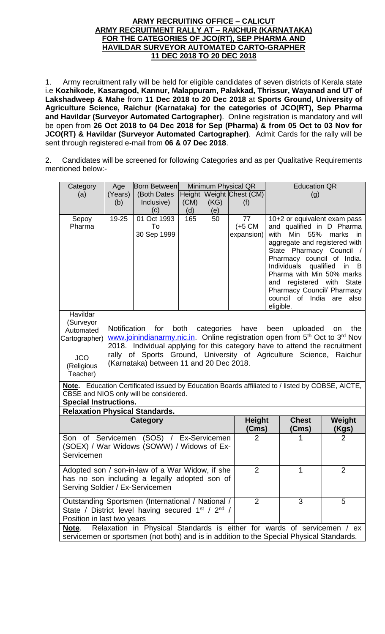### **ARMY RECRUITING OFFICE – CALICUT ARMY RECRUITMENT RALLY AT – RAICHUR (KARNATAKA) FOR THE CATEGORIES OF JCO(RT), SEP PHARMA AND HAVILDAR SURVEYOR AUTOMATED CARTO-GRAPHER 11 DEC 2018 TO 20 DEC 2018**

1. Army recruitment rally will be held for eligible candidates of seven districts of Kerala state i.e **Kozhikode, Kasaragod, Kannur, Malappuram, Palakkad, Thrissur, Wayanad and UT of Lakshadweep & Mahe** from **11 Dec 2018 to 20 Dec 2018** at **Sports Ground, University of Agriculture Science, Raichur (Karnataka) for the categories of JCO(RT), Sep Pharma and Havildar (Surveyor Automated Cartographer)**. Online registration is mandatory and will be open from **26 Oct 2018 to 04 Dec 2018 for Sep (Pharma) & from 05 Oct to 03 Nov for JCO(RT) & Havildar (Surveyor Automated Cartographer)**. Admit Cards for the rally will be sent through registered e-mail from **06 & 07 Dec 2018**.

2. Candidates will be screened for following Categories and as per Qualitative Requirements mentioned below:-

| Category                                                                                        | Age                                                                                                                                              | <b>Born Between</b>                     | Minimum Physical QR |                |                          | <b>Education QR</b>                                                                                 |                        |  |
|-------------------------------------------------------------------------------------------------|--------------------------------------------------------------------------------------------------------------------------------------------------|-----------------------------------------|---------------------|----------------|--------------------------|-----------------------------------------------------------------------------------------------------|------------------------|--|
| (a)                                                                                             | (Years)                                                                                                                                          | (Both Dates                             |                     |                | Height Weight Chest (CM) | (g)                                                                                                 |                        |  |
|                                                                                                 | (b)                                                                                                                                              | Inclusive)                              | (CM)                | (KG)           | (f)                      |                                                                                                     |                        |  |
|                                                                                                 |                                                                                                                                                  | (c)                                     | (d)                 | (e)            |                          |                                                                                                     |                        |  |
| Sepoy                                                                                           | $19 - 25$                                                                                                                                        | 01 Oct 1993                             | 165                 | 50             | $\overline{77}$          | 10+2 or equivalent exam pass                                                                        |                        |  |
| Pharma                                                                                          |                                                                                                                                                  | To                                      |                     |                | $(+5 \text{ CM})$        | and qualified in D Pharma                                                                           |                        |  |
|                                                                                                 |                                                                                                                                                  | 30 Sep 1999                             |                     |                | expansion)               | with<br>Min 55%                                                                                     | marks<br>in.           |  |
|                                                                                                 |                                                                                                                                                  |                                         |                     |                |                          | aggregate and registered with                                                                       |                        |  |
|                                                                                                 |                                                                                                                                                  |                                         |                     |                |                          | State Pharmacy Council /<br>Pharmacy council of India.                                              |                        |  |
|                                                                                                 |                                                                                                                                                  |                                         |                     |                |                          | Individuals                                                                                         | qualified<br>in<br>- B |  |
|                                                                                                 |                                                                                                                                                  |                                         |                     |                |                          | Pharma with Min 50% marks                                                                           |                        |  |
|                                                                                                 |                                                                                                                                                  |                                         |                     |                |                          | registered with<br>and                                                                              | <b>State</b>           |  |
|                                                                                                 |                                                                                                                                                  |                                         |                     |                |                          | Pharmacy Council/ Pharmacy                                                                          |                        |  |
|                                                                                                 |                                                                                                                                                  |                                         |                     |                |                          | council of India                                                                                    | also<br>are            |  |
|                                                                                                 |                                                                                                                                                  |                                         |                     |                |                          | eligible.                                                                                           |                        |  |
| Havildar                                                                                        |                                                                                                                                                  |                                         |                     |                |                          |                                                                                                     |                        |  |
| (Surveyor                                                                                       |                                                                                                                                                  |                                         |                     |                |                          |                                                                                                     |                        |  |
| Automated                                                                                       |                                                                                                                                                  | Notification for                        | both                |                | categories have          | been<br>uploaded                                                                                    | the<br>on              |  |
| Cartographer)                                                                                   |                                                                                                                                                  |                                         |                     |                |                          | www.joinindianarmy.nic.in. Online registration open from 5 <sup>th</sup> Oct to 3 <sup>rd</sup> Nov |                        |  |
|                                                                                                 | 2018. Individual applying for this category have to attend the recruitment<br>rally of Sports Ground, University of Agriculture Science, Raichur |                                         |                     |                |                          |                                                                                                     |                        |  |
| <b>JCO</b>                                                                                      |                                                                                                                                                  | (Karnataka) between 11 and 20 Dec 2018. |                     |                |                          |                                                                                                     |                        |  |
| (Religious                                                                                      |                                                                                                                                                  |                                         |                     |                |                          |                                                                                                     |                        |  |
| Teacher)                                                                                        |                                                                                                                                                  |                                         |                     |                |                          |                                                                                                     |                        |  |
| Note. Education Certificated issued by Education Boards affiliated to / listed by COBSE, AICTE, |                                                                                                                                                  |                                         |                     |                |                          |                                                                                                     |                        |  |
| CBSE and NIOS only will be considered.                                                          |                                                                                                                                                  |                                         |                     |                |                          |                                                                                                     |                        |  |
| <b>Special Instructions.</b>                                                                    |                                                                                                                                                  |                                         |                     |                |                          |                                                                                                     |                        |  |
| <b>Relaxation Physical Standards.</b>                                                           |                                                                                                                                                  |                                         |                     |                |                          |                                                                                                     |                        |  |
|                                                                                                 |                                                                                                                                                  | Category                                |                     |                | <b>Height</b>            | <b>Chest</b>                                                                                        | Weight                 |  |
|                                                                                                 |                                                                                                                                                  |                                         |                     |                | (Cms)                    | (Cms)                                                                                               | (Kgs)                  |  |
| Son of Servicemen                                                                               |                                                                                                                                                  | (SOS) / Ex-Servicemen                   |                     |                | $\overline{2}$           |                                                                                                     | $\overline{2}$         |  |
| (SOEX) / War Widows (SOWW) / Widows of Ex-                                                      |                                                                                                                                                  |                                         |                     |                |                          |                                                                                                     |                        |  |
| Servicemen                                                                                      |                                                                                                                                                  |                                         |                     |                |                          |                                                                                                     |                        |  |
|                                                                                                 |                                                                                                                                                  |                                         |                     |                | $\overline{2}$           | 1                                                                                                   | $\overline{2}$         |  |
| Adopted son / son-in-law of a War Widow, if she                                                 |                                                                                                                                                  |                                         |                     |                |                          |                                                                                                     |                        |  |
| has no son including a legally adopted son of                                                   |                                                                                                                                                  |                                         |                     |                |                          |                                                                                                     |                        |  |
| Serving Soldier / Ex-Servicemen                                                                 |                                                                                                                                                  |                                         |                     |                |                          |                                                                                                     |                        |  |
| Outstanding Sportsmen (International / National /                                               |                                                                                                                                                  |                                         |                     | $\overline{2}$ | 3                        | 5                                                                                                   |                        |  |
| State / District level having secured 1 <sup>st</sup> / 2 <sup>nd</sup> /                       |                                                                                                                                                  |                                         |                     |                |                          |                                                                                                     |                        |  |
| Position in last two years                                                                      |                                                                                                                                                  |                                         |                     |                |                          |                                                                                                     |                        |  |
| Relaxation in Physical Standards is either for wards of servicemen / ex<br><u>Note.</u>         |                                                                                                                                                  |                                         |                     |                |                          |                                                                                                     |                        |  |
| servicemen or sportsmen (not both) and is in addition to the Special Physical Standards.        |                                                                                                                                                  |                                         |                     |                |                          |                                                                                                     |                        |  |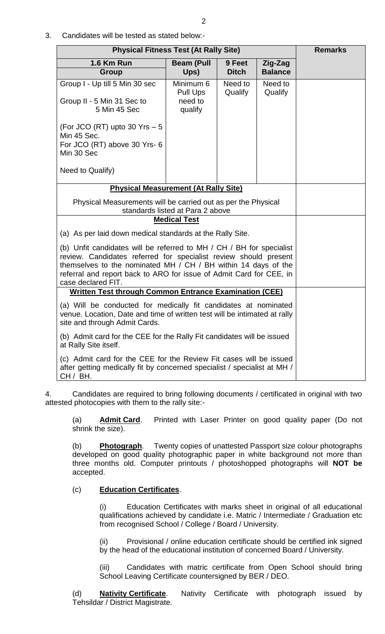3. Candidates will be tested as stated below:-

| <b>Physical Fitness Test (At Rally Site)</b>                                                                                                                                                                                                                                                            | <b>Remarks</b>                                                                                    |                        |                           |  |  |  |
|---------------------------------------------------------------------------------------------------------------------------------------------------------------------------------------------------------------------------------------------------------------------------------------------------------|---------------------------------------------------------------------------------------------------|------------------------|---------------------------|--|--|--|
| <b>1.6 Km Run</b><br>Group                                                                                                                                                                                                                                                                              | <b>Beam (Pull</b><br>Ups)                                                                         | 9 Feet<br><b>Ditch</b> | Zig-Zag<br><b>Balance</b> |  |  |  |
| Group I - Up till 5 Min 30 sec<br>Group II - 5 Min 31 Sec to<br>5 Min 45 Sec                                                                                                                                                                                                                            | Minimum 6<br><b>Pull Ups</b><br>need to<br>qualify                                                | Need to<br>Qualify     | Need to<br>Qualify        |  |  |  |
| (For JCO (RT) upto 30 Yrs - 5<br>Min 45 Sec.<br>For JCO (RT) above 30 Yrs- 6<br>Min 30 Sec                                                                                                                                                                                                              |                                                                                                   |                        |                           |  |  |  |
| Need to Qualify)                                                                                                                                                                                                                                                                                        |                                                                                                   |                        |                           |  |  |  |
| <b>Physical Measurement (At Rally Site)</b>                                                                                                                                                                                                                                                             |                                                                                                   |                        |                           |  |  |  |
|                                                                                                                                                                                                                                                                                                         | Physical Measurements will be carried out as per the Physical<br>standards listed at Para 2 above |                        |                           |  |  |  |
| <b>Medical Test</b>                                                                                                                                                                                                                                                                                     |                                                                                                   |                        |                           |  |  |  |
| (a) As per laid down medical standards at the Rally Site.                                                                                                                                                                                                                                               |                                                                                                   |                        |                           |  |  |  |
| (b) Unfit candidates will be referred to MH / CH / BH for specialist<br>review. Candidates referred for specialist review should present<br>themselves to the nominated MH / CH / BH within 14 days of the<br>referral and report back to ARO for issue of Admit Card for CEE, in<br>case declared FIT. |                                                                                                   |                        |                           |  |  |  |
| <b>Written Test through Common Entrance Examination (CEE)</b>                                                                                                                                                                                                                                           |                                                                                                   |                        |                           |  |  |  |
| (a) Will be conducted for medically fit candidates at nominated<br>venue. Location, Date and time of written test will be intimated at rally<br>site and through Admit Cards.                                                                                                                           |                                                                                                   |                        |                           |  |  |  |
| (b) Admit card for the CEE for the Rally Fit candidates will be issued<br>at Rally Site itself.                                                                                                                                                                                                         |                                                                                                   |                        |                           |  |  |  |
| (c) Admit card for the CEE for the Review Fit cases will be issued<br>after getting medically fit by concerned specialist / specialist at MH /<br>CH / BH.                                                                                                                                              |                                                                                                   |                        |                           |  |  |  |

4. Candidates are required to bring following documents / certificated in original with two attested photocopies with them to the rally site:-

(a) **Admit Card**. Printed with Laser Printer on good quality paper (Do not shrink the size).

(b) **Photograph**. Twenty copies of unattested Passport size colour photographs developed on good quality photographic paper in white background not more than three months old. Computer printouts / photoshopped photographs will **NOT be** accepted.

# (c) **Education Certificates**.

(i) Education Certificates with marks sheet in original of all educational qualifications achieved by candidate i.e. Matric / Intermediate / Graduation etc from recognised School / College / Board / University.

(ii) Provisional / online education certificate should be certified ink signed by the head of the educational institution of concerned Board / University.

(iii) Candidates with matric certificate from Open School should bring School Leaving Certificate countersigned by BER / DEO.

(d) **Nativity Certificate**. Nativity Certificate with photograph issued by Tehsildar / District Magistrate.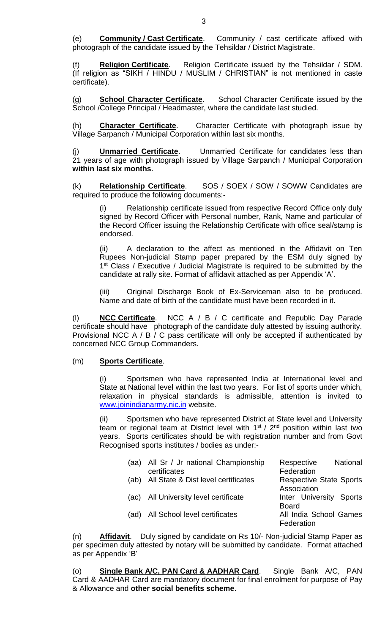(e) **Community / Cast Certificate**. Community / cast certificate affixed with photograph of the candidate issued by the Tehsildar / District Magistrate.

**Religion Certificate**. Religion Certificate issued by the Tehsildar / SDM. (If religion as "SIKH / HINDU / MUSLIM / CHRISTIAN" is not mentioned in caste certificate).

(g) **School Character Certificate**. School Character Certificate issued by the School /College Principal / Headmaster, where the candidate last studied.

(h) **Character Certificate**. Character Certificate with photograph issue by Village Sarpanch / Municipal Corporation within last six months.

**Unmarried Certificate.** Unmarried Certificate for candidates less than 21 years of age with photograph issued by Village Sarpanch / Municipal Corporation **within last six months**.

(k) **Relationship Certificate**. SOS / SOEX / SOW / SOWW Candidates are required to produce the following documents:-

(i) Relationship certificate issued from respective Record Office only duly signed by Record Officer with Personal number, Rank, Name and particular of the Record Officer issuing the Relationship Certificate with office seal/stamp is endorsed.

(ii) A declaration to the affect as mentioned in the Affidavit on Ten Rupees Non-judicial Stamp paper prepared by the ESM duly signed by 1<sup>st</sup> Class / Executive / Judicial Magistrate is required to be submitted by the candidate at rally site. Format of affidavit attached as per Appendix 'A'.

(iii) Original Discharge Book of Ex-Serviceman also to be produced. Name and date of birth of the candidate must have been recorded in it.

(l) **NCC Certificate**. NCC A / B / C certificate and Republic Day Parade certificate should have photograph of the candidate duly attested by issuing authority. Provisional NCC A / B / C pass certificate will only be accepted if authenticated by concerned NCC Group Commanders.

### (m) **Sports Certificate**.

(i) Sportsmen who have represented India at International level and State at National level within the last two years. For list of sports under which, relaxation in physical standards is admissible, attention is invited to [www.joinindianarmy.nic.in](http://www.joinindianarmy.nic.in/) website.

(ii) Sportsmen who have represented District at State level and University team or regional team at District level with  $1<sup>st</sup>$  /  $2<sup>nd</sup>$  position within last two years. Sports certificates should be with registration number and from Govt Recognised sports institutes / bodies as under:-

| (aa) | All Sr / Jr national Championship     | Respective<br><b>National</b>  |
|------|---------------------------------------|--------------------------------|
|      | certificates                          | Federation                     |
| (ab) | All State & Dist level certificates   | <b>Respective State Sports</b> |
|      |                                       | Association                    |
|      | (ac) All University level certificate | Inter University Sports        |
|      |                                       | <b>Board</b>                   |
| (ad) | All School level certificates         | All India School Games         |
|      |                                       | Federation                     |

(n) **Affidavit**. Duly signed by candidate on Rs 10/- Non-judicial Stamp Paper as per specimen duly attested by notary will be submitted by candidate. Format attached as per Appendix 'B'

(o) **Single Bank A/C, PAN Card & AADHAR Card**. Single Bank A/C, PAN Card & AADHAR Card are mandatory document for final enrolment for purpose of Pay & Allowance and **other social benefits scheme**.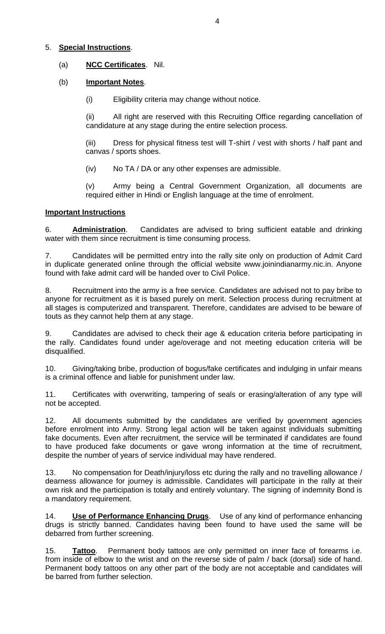# 5. **Special Instructions**.

# (a) **NCC Certificates**. Nil.

# (b) **Important Notes**.

(i) Eligibility criteria may change without notice.

(ii) All right are reserved with this Recruiting Office regarding cancellation of candidature at any stage during the entire selection process.

(iii) Dress for physical fitness test will T-shirt / vest with shorts / half pant and canvas / sports shoes.

(iv) No TA / DA or any other expenses are admissible.

(v) Army being a Central Government Organization, all documents are required either in Hindi or English language at the time of enrolment.

# **Important Instructions**

6. **Administration**. Candidates are advised to bring sufficient eatable and drinking water with them since recruitment is time consuming process.

7. Candidates will be permitted entry into the rally site only on production of Admit Card in duplicate generated online through the official website www.joinindianarmy.nic.in. Anyone found with fake admit card will be handed over to Civil Police.

8. Recruitment into the army is a free service. Candidates are advised not to pay bribe to anyone for recruitment as it is based purely on merit. Selection process during recruitment at all stages is computerized and transparent. Therefore, candidates are advised to be beware of touts as they cannot help them at any stage.

9. Candidates are advised to check their age & education criteria before participating in the rally. Candidates found under age/overage and not meeting education criteria will be disqualified.

10. Giving/taking bribe, production of bogus/fake certificates and indulging in unfair means is a criminal offence and liable for punishment under law.

11. Certificates with overwriting, tampering of seals or erasing/alteration of any type will not be accepted.

12. All documents submitted by the candidates are verified by government agencies before enrolment into Army. Strong legal action will be taken against individuals submitting fake documents. Even after recruitment, the service will be terminated if candidates are found to have produced fake documents or gave wrong information at the time of recruitment, despite the number of years of service individual may have rendered.

13. No compensation for Death/injury/loss etc during the rally and no travelling allowance / dearness allowance for journey is admissible. Candidates will participate in the rally at their own risk and the participation is totally and entirely voluntary. The signing of indemnity Bond is a mandatory requirement.

14. **Use of Performance Enhancing Drugs**. Use of any kind of performance enhancing drugs is strictly banned. Candidates having been found to have used the same will be debarred from further screening.

15. **Tattoo**. Permanent body tattoos are only permitted on inner face of forearms i.e. from inside of elbow to the wrist and on the reverse side of palm / back (dorsal) side of hand. Permanent body tattoos on any other part of the body are not acceptable and candidates will be barred from further selection.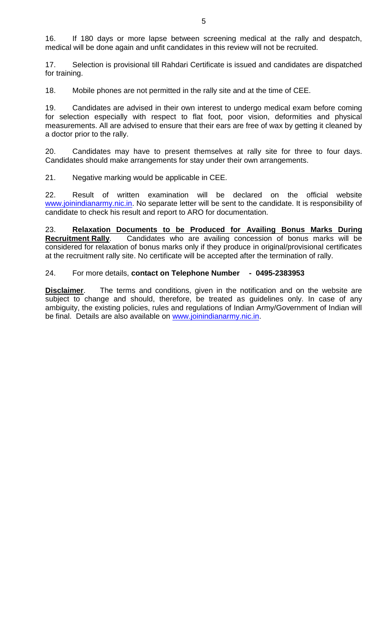16. If 180 days or more lapse between screening medical at the rally and despatch, medical will be done again and unfit candidates in this review will not be recruited.

17. Selection is provisional till Rahdari Certificate is issued and candidates are dispatched for training.

18. Mobile phones are not permitted in the rally site and at the time of CEE.

19. Candidates are advised in their own interest to undergo medical exam before coming for selection especially with respect to flat foot, poor vision, deformities and physical measurements. All are advised to ensure that their ears are free of wax by getting it cleaned by a doctor prior to the rally.

20. Candidates may have to present themselves at rally site for three to four days. Candidates should make arrangements for stay under their own arrangements.

21. Negative marking would be applicable in CEE.

22. Result of written examination will be declared on the official website [www.joinindianarmy.nic.in.](http://www.joinindianarmy.nic.in/) No separate letter will be sent to the candidate. It is responsibility of candidate to check his result and report to ARO for documentation.

23. **Relaxation Documents to be Produced for Availing Bonus Marks During Recruitment Rally**. Candidates who are availing concession of bonus marks will be considered for relaxation of bonus marks only if they produce in original/provisional certificates at the recruitment rally site. No certificate will be accepted after the termination of rally.

### 24. For more details, **contact on Telephone Number - 0495-2383953**

**Disclaimer**. The terms and conditions, given in the notification and on the website are subject to change and should, therefore, be treated as guidelines only. In case of any ambiguity, the existing policies, rules and regulations of Indian Army/Government of Indian will be final. Details are also available on [www.joinindianarmy.nic.in.](http://www.joinindianarmy.nic.in/)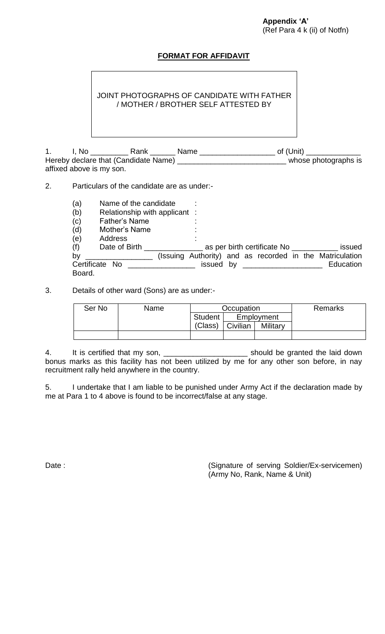# **FORMAT FOR AFFIDAVIT**

JOINT PHOTOGRAPHS OF CANDIDATE WITH FATHER / MOTHER / BROTHER SELF ATTESTED BY

1. I, No \_\_\_\_\_\_\_\_\_ Rank \_\_\_\_\_\_ Name \_\_\_\_\_\_\_\_\_\_\_\_\_\_\_\_\_\_ of (Unit) \_\_\_\_\_\_\_\_\_\_\_\_\_ Hereby declare that (Candidate Name) \_\_\_\_\_\_\_\_\_\_\_\_\_\_\_\_\_\_\_\_\_\_\_\_\_\_\_\_\_\_\_\_ whose photographs is affixed above is my son.

2. Particulars of the candidate are as under:-

- (a) Name of the candidate :
- (b) Relationship with applicant :
- $(c)$  Father's Name :
- (d) Mother's Name :
- (e) Address :

| (f)<br>Date of Birth                                                             |           |  | as per birth certificate No |  | issued                                                   |
|----------------------------------------------------------------------------------|-----------|--|-----------------------------|--|----------------------------------------------------------|
| by<br>the control of the control of the control of the control of the control of |           |  |                             |  | (Issuing Authority) and as recorded in the Matriculation |
| Certificate No                                                                   | issued by |  |                             |  | Education                                                |
| Board.                                                                           |           |  |                             |  |                                                          |

3. Details of other ward (Sons) are as under:-

| Ser No | Name | Occupation     |          |            | <b>Remarks</b> |
|--------|------|----------------|----------|------------|----------------|
|        |      | <b>Student</b> |          | Employment |                |
|        |      | (Class)        | Civilian | Military   |                |
|        |      |                |          |            |                |

4. It is certified that my son, \_\_\_\_\_\_\_\_\_\_\_\_\_\_\_\_\_\_\_\_\_\_\_\_\_\_ should be granted the laid down bonus marks as this facility has not been utilized by me for any other son before, in nay recruitment rally held anywhere in the country.

5. I undertake that I am liable to be punished under Army Act if the declaration made by me at Para 1 to 4 above is found to be incorrect/false at any stage.

Date :  $D = \{(S\text{w}) \mid S\text{w}\}$  (Signature of serving Soldier/Ex-servicemen) (Army No, Rank, Name & Unit)